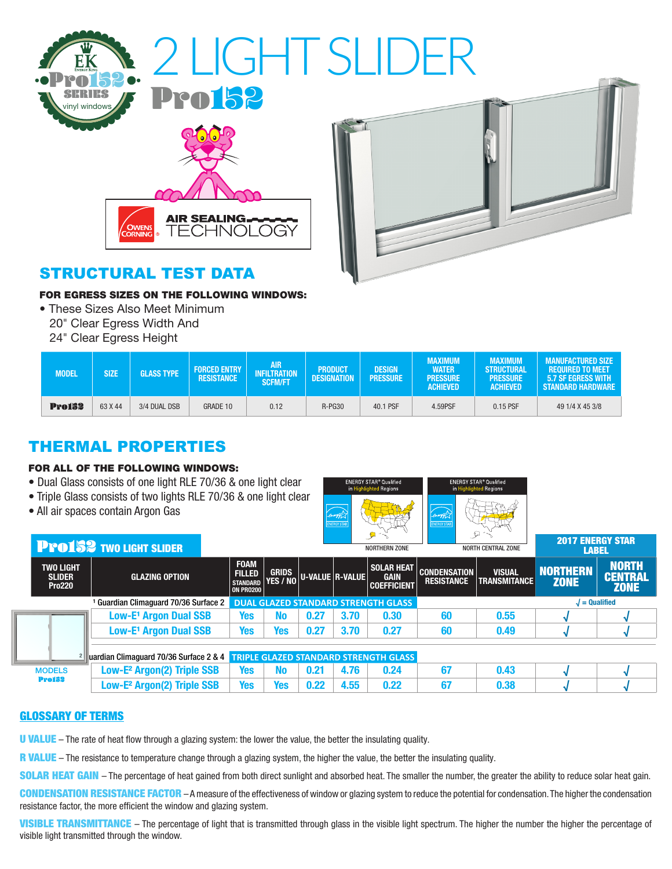

## STRUCTURAL TEST DATA

#### FOR EGRESS SIZES ON THE FOLLOWING WINDOWS:

- These Sizes Also Meet Minimum
	- 20" Clear Egress Width And
	- 24" Clear Egress Height

| <b>MODEL</b>  | <b>SIZE</b> | <b>GLASS TYPE</b> | <b>FORCED ENTRY</b><br><b>RESISTANCE</b> | AIR.<br>INFILTRATION<br><b>SCFM/FT</b> | <b>PRODUCT</b><br><b>DESIGNATION</b> | <b>DESIGN</b><br><b>PRESSURE</b> | <b>MAXIMUM</b><br><b>WATER</b><br><b>PRESSURE</b><br><b>ACHIEVED</b> | <b>MAXIMUM</b><br><b>STRUCTURAL</b><br><b>PRESSURE</b><br><b>ACHIEVED</b> | <b>MANUFACTURED SIZE</b><br><b>REQUIRED TO MEET</b><br>5.7 SF EGRESS WITH<br>' Standard Hardware |  |
|---------------|-------------|-------------------|------------------------------------------|----------------------------------------|--------------------------------------|----------------------------------|----------------------------------------------------------------------|---------------------------------------------------------------------------|--------------------------------------------------------------------------------------------------|--|
| <b>Pro152</b> | 63 X 44     | 3/4 DUAL DSB      | GRADE 10                                 | 0.12                                   | R-PG30                               | 40.1 PSF                         | 4.59PSF                                                              | 0.15 PSF                                                                  | 49 1/4 X 45 3/8                                                                                  |  |

## THERMAL PROPERTIES

#### FOR ALL OF THE FOLLOWING WINDOWS:

- Dual Glass consists of one light RLE 70/36 & one light clear
- Triple Glass consists of two lights RLE 70/36 & one light clear
- All air spaces contain Argon Gas



|                                                  |                                                    | <b>PPO 52 TWO LIGHT SLIDER</b>                                               |                                                                       |                                            |                 | NORTHERN ZONE |                                                        | NORTH CENTRAL ZONE                       |                                      | <b>LABEL</b>                   |                                               |  |
|--------------------------------------------------|----------------------------------------------------|------------------------------------------------------------------------------|-----------------------------------------------------------------------|--------------------------------------------|-----------------|---------------|--------------------------------------------------------|------------------------------------------|--------------------------------------|--------------------------------|-----------------------------------------------|--|
|                                                  | <b>TWO LIGHT</b><br><b>SLIDER</b><br><b>Pro220</b> | <b>GLAZING OPTION</b>                                                        | <b>FOAM</b><br><b>FILLED</b><br>STANDARD YES / NO<br><b>ON PRO200</b> | <b>GRIDS</b>                               | U-VALUE R-VALUE |               | <b>SOLAR HEAT</b><br><b>GAIN</b><br><b>COEFFICIENT</b> | <b>CONDENSATION</b><br><b>RESISTANCE</b> | <b>VISUAL</b><br><b>TRANSMITANCE</b> | <b>NORTHERN</b><br><b>ZONE</b> | <b>NORTH</b><br><b>CENTRAL</b><br><b>ZONE</b> |  |
| <sup>1</sup> Guardian Climaquard 70/36 Surface 2 |                                                    |                                                                              |                                                                       | <b>DUAL GLAZED STANDARD STRENGTH GLASS</b> |                 |               |                                                        |                                          |                                      |                                | $l =$ Qualified                               |  |
|                                                  |                                                    | Low-E <sup>1</sup> Argon Dual SSB                                            | <b>Yes</b>                                                            | No                                         | 0.27            | 3.70          | 0.30                                                   | 60                                       | 0.55                                 |                                |                                               |  |
|                                                  |                                                    | <b>Low-E<sup>1</sup> Argon Dual SSB</b>                                      | <b>Yes</b>                                                            | Yes                                        | 0.27            | 3.70          | 0.27                                                   | 60                                       | 0.49                                 |                                |                                               |  |
|                                                  |                                                    | uardian Climaguard 70/36 Surface 2 & 4 TRIPLE GLAZED STANDARD STRENGTH GLASS |                                                                       |                                            |                 |               |                                                        |                                          |                                      |                                |                                               |  |
| <b>MODELS</b>                                    |                                                    | Low-E <sup>2</sup> Argon(2) Triple SSB                                       | <b>Yes</b>                                                            | <b>No</b>                                  | 0.21            | 4.76          | 0.24                                                   | 67                                       | 0.43                                 |                                |                                               |  |
|                                                  | <b>Pro152</b>                                      | Low-E <sup>2</sup> Argon(2) Triple SSB                                       | <b>Yes</b>                                                            | Yes                                        | 0.22            | 4.55          | 0.22                                                   | 67                                       | 0.38                                 |                                |                                               |  |

### GLOSSARY OF TERMS

U VALUE – The rate of heat flow through a glazing system: the lower the value, the better the insulating quality.

R VALUE – The resistance to temperature change through a glazing system, the higher the value, the better the insulating quality.

SOLAR HEAT GAIN - The percentage of heat gained from both direct sunlight and absorbed heat. The smaller the number, the greater the ability to reduce solar heat gain.

CONDENSATION RESISTANCE FACTOR - A measure of the effectiveness of window or glazing system to reduce the potential for condensation. The higher the condensation resistance factor, the more efficient the window and glazing system.

VISIBLE TRANSMITTANCE - The percentage of light that is transmitted through glass in the visible light spectrum. The higher the number the higher the percentage of visible light transmitted through the window.